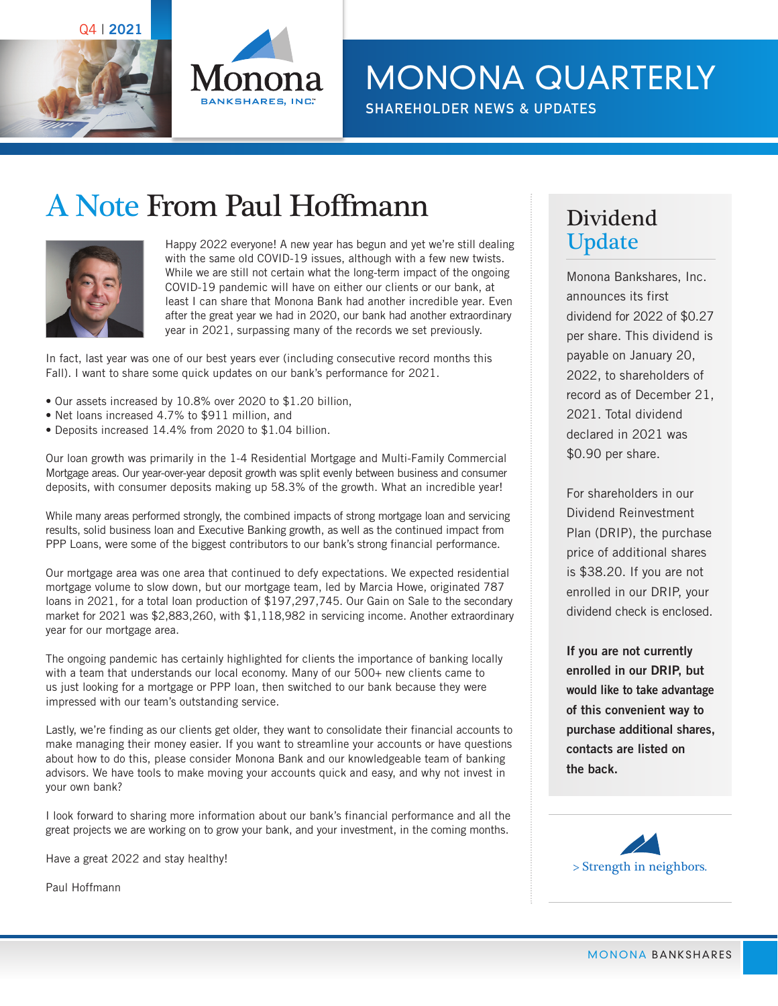Q4 | **2021**



MONONA QUARTERLY

**SHAREHOLDER NEWS & UPDATES**

# A Note From Paul Hoffmann



Happy 2022 everyone! A new year has begun and yet we're still dealing with the same old COVID-19 issues, although with a few new twists. While we are still not certain what the long-term impact of the ongoing COVID-19 pandemic will have on either our clients or our bank, at least I can share that Monona Bank had another incredible year. Even after the great year we had in 2020, our bank had another extraordinary year in 2021, surpassing many of the records we set previously.

In fact, last year was one of our best years ever (including consecutive record months this Fall). I want to share some quick updates on our bank's performance for 2021.

- Our assets increased by 10.8% over 2020 to \$1.20 billion,
- Net loans increased 4.7% to \$911 million, and
- Deposits increased 14.4% from 2020 to \$1.04 billion.

Our loan growth was primarily in the 1-4 Residential Mortgage and Multi-Family Commercial Mortgage areas. Our year-over-year deposit growth was split evenly between business and consumer deposits, with consumer deposits making up 58.3% of the growth. What an incredible year!

While many areas performed strongly, the combined impacts of strong mortgage loan and servicing results, solid business loan and Executive Banking growth, as well as the continued impact from PPP Loans, were some of the biggest contributors to our bank's strong financial performance.

Our mortgage area was one area that continued to defy expectations. We expected residential mortgage volume to slow down, but our mortgage team, led by Marcia Howe, originated 787 loans in 2021, for a total loan production of \$197,297,745. Our Gain on Sale to the secondary market for 2021 was \$2,883,260, with \$1,118,982 in servicing income. Another extraordinary year for our mortgage area.

The ongoing pandemic has certainly highlighted for clients the importance of banking locally with a team that understands our local economy. Many of our 500+ new clients came to us just looking for a mortgage or PPP loan, then switched to our bank because they were impressed with our team's outstanding service.

Lastly, we're finding as our clients get older, they want to consolidate their financial accounts to make managing their money easier. If you want to streamline your accounts or have questions about how to do this, please consider Monona Bank and our knowledgeable team of banking advisors. We have tools to make moving your accounts quick and easy, and why not invest in your own bank?

I look forward to sharing more information about our bank's financial performance and all the great projects we are working on to grow your bank, and your investment, in the coming months.

Have a great 2022 and stay healthy!

Paul Hoffmann

#### Dividend Update

Monona Bankshares, Inc. announces its first dividend for 2022 of \$0.27 per share. This dividend is payable on January 20, 2022, to shareholders of record as of December 21, 2021. Total dividend declared in 2021 was \$0.90 per share.

For shareholders in our Dividend Reinvestment Plan (DRIP), the purchase price of additional shares is \$38.20. If you are not enrolled in our DRIP, your dividend check is enclosed.

**If you are not currently enrolled in our DRIP, but would like to take advantage of this convenient way to purchase additional shares, contacts are listed on the back.**